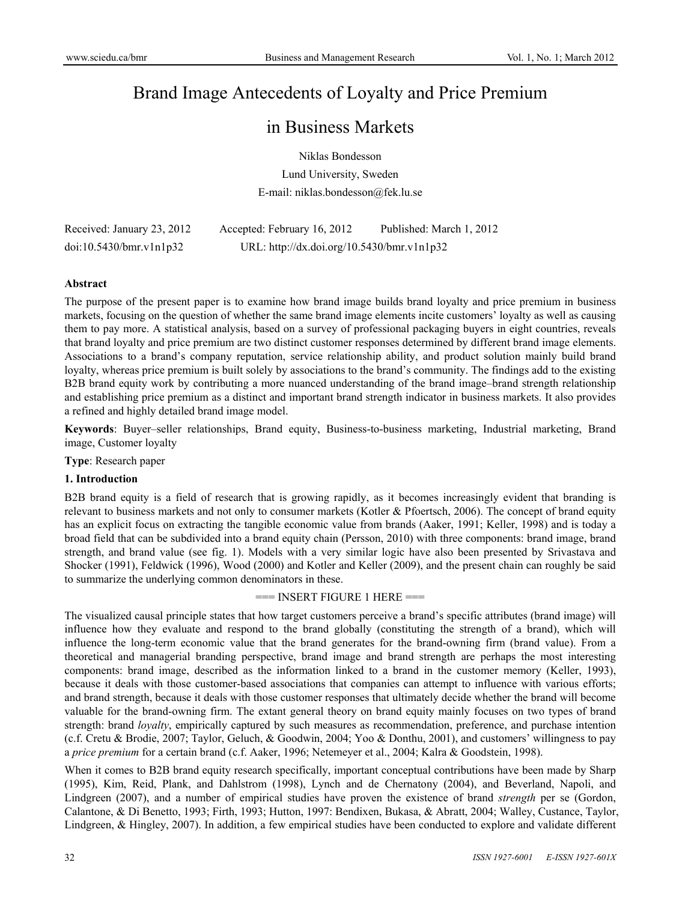# Brand Image Antecedents of Loyalty and Price Premium

## in Business Markets

Niklas Bondesson

Lund University, Sweden E-mail: niklas.bondesson@fek.lu.se

| Received: January 23, 2012 | Accepted: February 16, 2012                | Published: March 1, 2012 |
|----------------------------|--------------------------------------------|--------------------------|
| doi:10.5430/bmr.v1n1p32    | URL: http://dx.doi.org/10.5430/bmr.v1n1p32 |                          |

#### **Abstract**

The purpose of the present paper is to examine how brand image builds brand loyalty and price premium in business markets, focusing on the question of whether the same brand image elements incite customers' loyalty as well as causing them to pay more. A statistical analysis, based on a survey of professional packaging buyers in eight countries, reveals that brand loyalty and price premium are two distinct customer responses determined by different brand image elements. Associations to a brand's company reputation, service relationship ability, and product solution mainly build brand loyalty, whereas price premium is built solely by associations to the brand's community. The findings add to the existing B2B brand equity work by contributing a more nuanced understanding of the brand image–brand strength relationship and establishing price premium as a distinct and important brand strength indicator in business markets. It also provides a refined and highly detailed brand image model.

**Keywords**: Buyer–seller relationships, Brand equity, Business-to-business marketing, Industrial marketing, Brand image, Customer loyalty

**Type**: Research paper

## **1. Introduction**

B2B brand equity is a field of research that is growing rapidly, as it becomes increasingly evident that branding is relevant to business markets and not only to consumer markets (Kotler & Pfoertsch, 2006). The concept of brand equity has an explicit focus on extracting the tangible economic value from brands (Aaker, 1991; Keller, 1998) and is today a broad field that can be subdivided into a brand equity chain (Persson, 2010) with three components: brand image, brand strength, and brand value (see fig. 1). Models with a very similar logic have also been presented by Srivastava and Shocker (1991), Feldwick (1996), Wood (2000) and Kotler and Keller (2009), and the present chain can roughly be said to summarize the underlying common denominators in these.

 $==$  INSERT FIGURE 1 HERE  $==$ 

The visualized causal principle states that how target customers perceive a brand's specific attributes (brand image) will influence how they evaluate and respond to the brand globally (constituting the strength of a brand), which will influence the long-term economic value that the brand generates for the brand-owning firm (brand value). From a theoretical and managerial branding perspective, brand image and brand strength are perhaps the most interesting components: brand image, described as the information linked to a brand in the customer memory (Keller, 1993), because it deals with those customer-based associations that companies can attempt to influence with various efforts; and brand strength, because it deals with those customer responses that ultimately decide whether the brand will become valuable for the brand-owning firm. The extant general theory on brand equity mainly focuses on two types of brand strength: brand *loyalty*, empirically captured by such measures as recommendation, preference, and purchase intention (c.f. Cretu & Brodie, 2007; Taylor, Geluch, & Goodwin, 2004; Yoo & Donthu, 2001), and customers' willingness to pay a *price premium* for a certain brand (c.f. Aaker, 1996; Netemeyer et al., 2004; Kalra & Goodstein, 1998).

When it comes to B2B brand equity research specifically, important conceptual contributions have been made by Sharp (1995), Kim, Reid, Plank, and Dahlstrom (1998), Lynch and de Chernatony (2004), and Beverland, Napoli, and Lindgreen (2007), and a number of empirical studies have proven the existence of brand *strength* per se (Gordon, Calantone, & Di Benetto, 1993; Firth, 1993; Hutton, 1997: Bendixen, Bukasa, & Abratt, 2004; Walley, Custance, Taylor, Lindgreen, & Hingley, 2007). In addition, a few empirical studies have been conducted to explore and validate different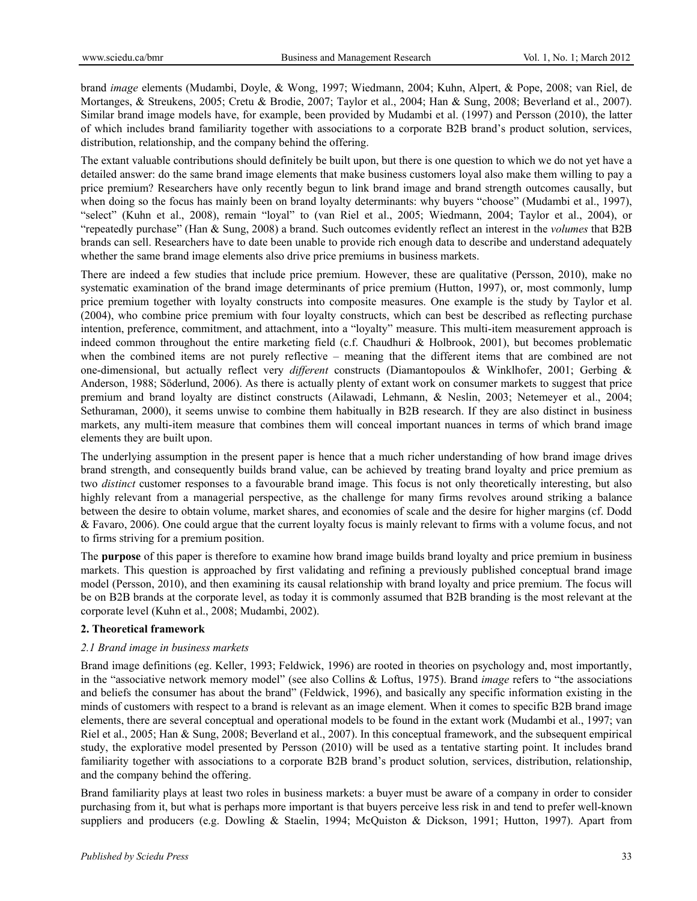brand *image* elements (Mudambi, Doyle, & Wong, 1997; Wiedmann, 2004; Kuhn, Alpert, & Pope, 2008; van Riel, de Mortanges, & Streukens, 2005; Cretu & Brodie, 2007; Taylor et al., 2004; Han & Sung, 2008; Beverland et al., 2007). Similar brand image models have, for example, been provided by Mudambi et al. (1997) and Persson (2010), the latter of which includes brand familiarity together with associations to a corporate B2B brand's product solution, services, distribution, relationship, and the company behind the offering.

The extant valuable contributions should definitely be built upon, but there is one question to which we do not yet have a detailed answer: do the same brand image elements that make business customers loyal also make them willing to pay a price premium? Researchers have only recently begun to link brand image and brand strength outcomes causally, but when doing so the focus has mainly been on brand loyalty determinants: why buyers "choose" (Mudambi et al., 1997), "select" (Kuhn et al., 2008), remain "loyal" to (van Riel et al., 2005; Wiedmann, 2004; Taylor et al., 2004), or "repeatedly purchase" (Han & Sung, 2008) a brand. Such outcomes evidently reflect an interest in the *volumes* that B2B brands can sell. Researchers have to date been unable to provide rich enough data to describe and understand adequately whether the same brand image elements also drive price premiums in business markets.

There are indeed a few studies that include price premium. However, these are qualitative (Persson, 2010), make no systematic examination of the brand image determinants of price premium (Hutton, 1997), or, most commonly, lump price premium together with loyalty constructs into composite measures. One example is the study by Taylor et al. (2004), who combine price premium with four loyalty constructs, which can best be described as reflecting purchase intention, preference, commitment, and attachment, into a "loyalty" measure. This multi-item measurement approach is indeed common throughout the entire marketing field (c.f. Chaudhuri & Holbrook, 2001), but becomes problematic when the combined items are not purely reflective – meaning that the different items that are combined are not one-dimensional, but actually reflect very *different* constructs (Diamantopoulos & Winklhofer, 2001; Gerbing & Anderson, 1988; Söderlund, 2006). As there is actually plenty of extant work on consumer markets to suggest that price premium and brand loyalty are distinct constructs (Ailawadi, Lehmann, & Neslin, 2003; Netemeyer et al., 2004; Sethuraman, 2000), it seems unwise to combine them habitually in B2B research. If they are also distinct in business markets, any multi-item measure that combines them will conceal important nuances in terms of which brand image elements they are built upon.

The underlying assumption in the present paper is hence that a much richer understanding of how brand image drives brand strength, and consequently builds brand value, can be achieved by treating brand loyalty and price premium as two *distinct* customer responses to a favourable brand image. This focus is not only theoretically interesting, but also highly relevant from a managerial perspective, as the challenge for many firms revolves around striking a balance between the desire to obtain volume, market shares, and economies of scale and the desire for higher margins (cf. Dodd & Favaro, 2006). One could argue that the current loyalty focus is mainly relevant to firms with a volume focus, and not to firms striving for a premium position.

The **purpose** of this paper is therefore to examine how brand image builds brand loyalty and price premium in business markets. This question is approached by first validating and refining a previously published conceptual brand image model (Persson, 2010), and then examining its causal relationship with brand loyalty and price premium. The focus will be on B2B brands at the corporate level, as today it is commonly assumed that B2B branding is the most relevant at the corporate level (Kuhn et al., 2008; Mudambi, 2002).

## **2. Theoretical framework**

## *2.1 Brand image in business markets*

Brand image definitions (eg. Keller, 1993; Feldwick, 1996) are rooted in theories on psychology and, most importantly, in the "associative network memory model" (see also Collins & Loftus, 1975). Brand *image* refers to "the associations and beliefs the consumer has about the brand" (Feldwick, 1996), and basically any specific information existing in the minds of customers with respect to a brand is relevant as an image element. When it comes to specific B2B brand image elements, there are several conceptual and operational models to be found in the extant work (Mudambi et al., 1997; van Riel et al., 2005; Han & Sung, 2008; Beverland et al., 2007). In this conceptual framework, and the subsequent empirical study, the explorative model presented by Persson (2010) will be used as a tentative starting point. It includes brand familiarity together with associations to a corporate B2B brand's product solution, services, distribution, relationship, and the company behind the offering.

Brand familiarity plays at least two roles in business markets: a buyer must be aware of a company in order to consider purchasing from it, but what is perhaps more important is that buyers perceive less risk in and tend to prefer well-known suppliers and producers (e.g. Dowling & Staelin, 1994; McQuiston & Dickson, 1991; Hutton, 1997). Apart from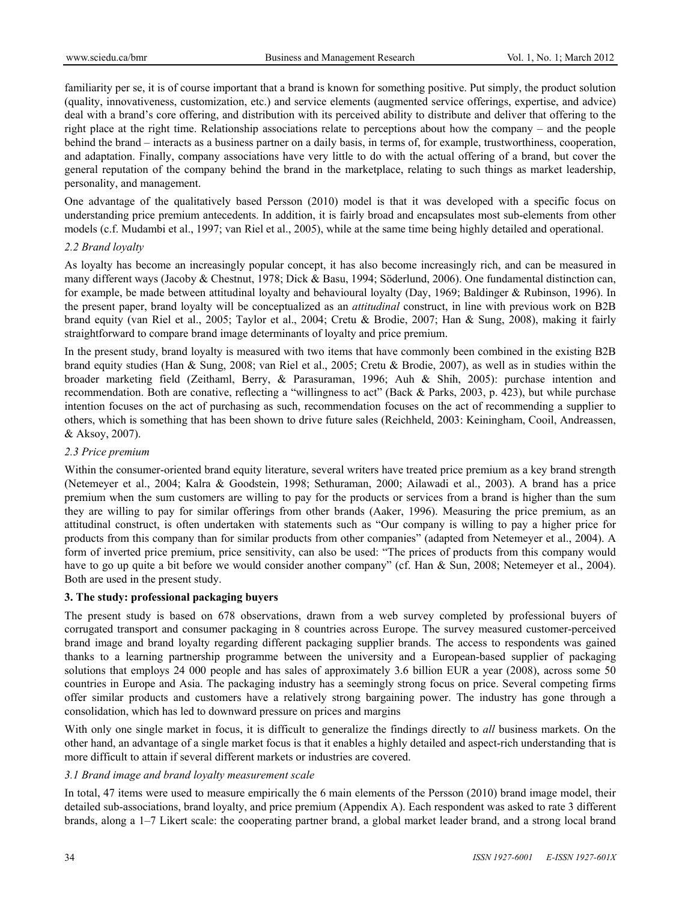familiarity per se, it is of course important that a brand is known for something positive. Put simply, the product solution (quality, innovativeness, customization, etc.) and service elements (augmented service offerings, expertise, and advice) deal with a brand's core offering, and distribution with its perceived ability to distribute and deliver that offering to the right place at the right time. Relationship associations relate to perceptions about how the company – and the people behind the brand – interacts as a business partner on a daily basis, in terms of, for example, trustworthiness, cooperation, and adaptation. Finally, company associations have very little to do with the actual offering of a brand, but cover the general reputation of the company behind the brand in the marketplace, relating to such things as market leadership, personality, and management.

One advantage of the qualitatively based Persson (2010) model is that it was developed with a specific focus on understanding price premium antecedents. In addition, it is fairly broad and encapsulates most sub-elements from other models (c.f. Mudambi et al., 1997; van Riel et al., 2005), while at the same time being highly detailed and operational.

## *2.2 Brand loyalty*

As loyalty has become an increasingly popular concept, it has also become increasingly rich, and can be measured in many different ways (Jacoby & Chestnut, 1978; Dick & Basu, 1994; Söderlund, 2006). One fundamental distinction can, for example, be made between attitudinal loyalty and behavioural loyalty (Day, 1969; Baldinger & Rubinson, 1996). In the present paper, brand loyalty will be conceptualized as an *attitudinal* construct, in line with previous work on B2B brand equity (van Riel et al., 2005; Taylor et al., 2004; Cretu & Brodie, 2007; Han & Sung, 2008), making it fairly straightforward to compare brand image determinants of loyalty and price premium.

In the present study, brand loyalty is measured with two items that have commonly been combined in the existing B2B brand equity studies (Han & Sung, 2008; van Riel et al., 2005; Cretu & Brodie, 2007), as well as in studies within the broader marketing field (Zeithaml, Berry, & Parasuraman, 1996; Auh & Shih, 2005): purchase intention and recommendation. Both are conative, reflecting a "willingness to act" (Back & Parks, 2003, p. 423), but while purchase intention focuses on the act of purchasing as such, recommendation focuses on the act of recommending a supplier to others, which is something that has been shown to drive future sales (Reichheld, 2003: Keiningham, Cooil, Andreassen, & Aksoy, 2007).

#### *2.3 Price premium*

Within the consumer-oriented brand equity literature, several writers have treated price premium as a key brand strength (Netemeyer et al., 2004; Kalra & Goodstein, 1998; Sethuraman, 2000; Ailawadi et al., 2003). A brand has a price premium when the sum customers are willing to pay for the products or services from a brand is higher than the sum they are willing to pay for similar offerings from other brands (Aaker, 1996). Measuring the price premium, as an attitudinal construct, is often undertaken with statements such as "Our company is willing to pay a higher price for products from this company than for similar products from other companies" (adapted from Netemeyer et al., 2004). A form of inverted price premium, price sensitivity, can also be used: "The prices of products from this company would have to go up quite a bit before we would consider another company" (cf. Han & Sun, 2008; Netemeyer et al., 2004). Both are used in the present study.

## **3. The study: professional packaging buyers**

The present study is based on 678 observations, drawn from a web survey completed by professional buyers of corrugated transport and consumer packaging in 8 countries across Europe. The survey measured customer-perceived brand image and brand loyalty regarding different packaging supplier brands. The access to respondents was gained thanks to a learning partnership programme between the university and a European-based supplier of packaging solutions that employs 24 000 people and has sales of approximately 3.6 billion EUR a year (2008), across some 50 countries in Europe and Asia. The packaging industry has a seemingly strong focus on price. Several competing firms offer similar products and customers have a relatively strong bargaining power. The industry has gone through a consolidation, which has led to downward pressure on prices and margins

With only one single market in focus, it is difficult to generalize the findings directly to *all* business markets. On the other hand, an advantage of a single market focus is that it enables a highly detailed and aspect-rich understanding that is more difficult to attain if several different markets or industries are covered.

## *3.1 Brand image and brand loyalty measurement scale*

In total, 47 items were used to measure empirically the 6 main elements of the Persson (2010) brand image model, their detailed sub-associations, brand loyalty, and price premium (Appendix A). Each respondent was asked to rate 3 different brands, along a 1–7 Likert scale: the cooperating partner brand, a global market leader brand, and a strong local brand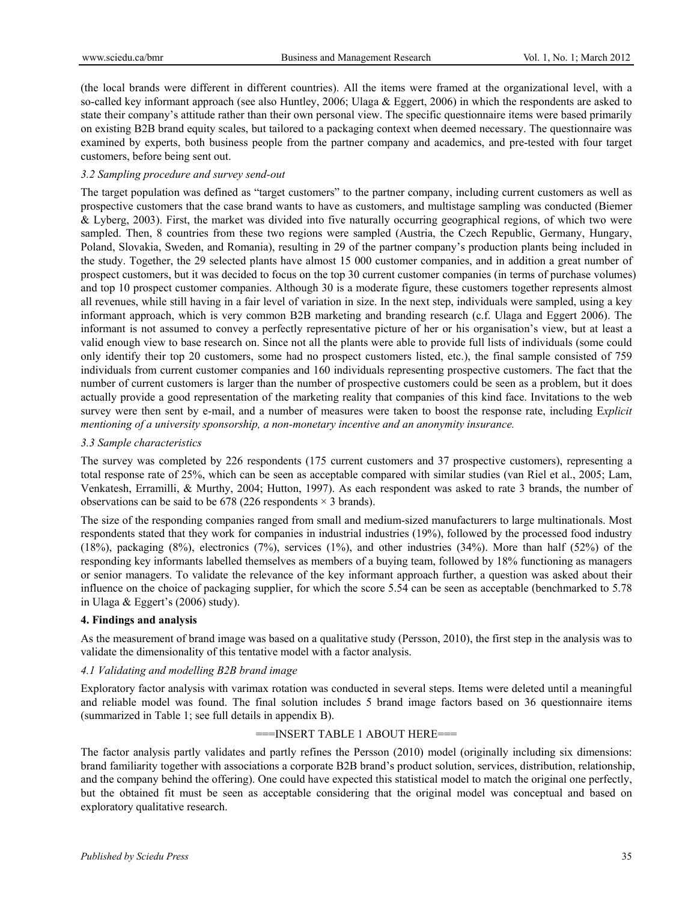(the local brands were different in different countries). All the items were framed at the organizational level, with a so-called key informant approach (see also Huntley, 2006; Ulaga & Eggert, 2006) in which the respondents are asked to state their company's attitude rather than their own personal view. The specific questionnaire items were based primarily on existing B2B brand equity scales, but tailored to a packaging context when deemed necessary. The questionnaire was examined by experts, both business people from the partner company and academics, and pre-tested with four target customers, before being sent out.

#### *3.2 Sampling procedure and survey send-out*

The target population was defined as "target customers" to the partner company, including current customers as well as prospective customers that the case brand wants to have as customers, and multistage sampling was conducted (Biemer & Lyberg, 2003). First, the market was divided into five naturally occurring geographical regions, of which two were sampled. Then, 8 countries from these two regions were sampled (Austria, the Czech Republic, Germany, Hungary, Poland, Slovakia, Sweden, and Romania), resulting in 29 of the partner company's production plants being included in the study. Together, the 29 selected plants have almost 15 000 customer companies, and in addition a great number of prospect customers, but it was decided to focus on the top 30 current customer companies (in terms of purchase volumes) and top 10 prospect customer companies. Although 30 is a moderate figure, these customers together represents almost all revenues, while still having in a fair level of variation in size. In the next step, individuals were sampled, using a key informant approach, which is very common B2B marketing and branding research (c.f. Ulaga and Eggert 2006). The informant is not assumed to convey a perfectly representative picture of her or his organisation's view, but at least a valid enough view to base research on. Since not all the plants were able to provide full lists of individuals (some could only identify their top 20 customers, some had no prospect customers listed, etc.), the final sample consisted of 759 individuals from current customer companies and 160 individuals representing prospective customers. The fact that the number of current customers is larger than the number of prospective customers could be seen as a problem, but it does actually provide a good representation of the marketing reality that companies of this kind face. Invitations to the web survey were then sent by e-mail, and a number of measures were taken to boost the response rate, including E*xplicit mentioning of a university sponsorship, a non-monetary incentive and an anonymity insurance.* 

#### *3.3 Sample characteristics*

The survey was completed by 226 respondents (175 current customers and 37 prospective customers), representing a total response rate of 25%, which can be seen as acceptable compared with similar studies (van Riel et al., 2005; Lam, Venkatesh, Erramilli, & Murthy, 2004; Hutton, 1997). As each respondent was asked to rate 3 brands, the number of observations can be said to be 678 (226 respondents  $\times$  3 brands).

The size of the responding companies ranged from small and medium-sized manufacturers to large multinationals. Most respondents stated that they work for companies in industrial industries (19%), followed by the processed food industry (18%), packaging (8%), electronics (7%), services (1%), and other industries (34%). More than half (52%) of the responding key informants labelled themselves as members of a buying team, followed by 18% functioning as managers or senior managers. To validate the relevance of the key informant approach further, a question was asked about their influence on the choice of packaging supplier, for which the score 5.54 can be seen as acceptable (benchmarked to 5.78 in Ulaga & Eggert's (2006) study).

#### **4. Findings and analysis**

As the measurement of brand image was based on a qualitative study (Persson, 2010), the first step in the analysis was to validate the dimensionality of this tentative model with a factor analysis.

#### *4.1 Validating and modelling B2B brand image*

Exploratory factor analysis with varimax rotation was conducted in several steps. Items were deleted until a meaningful and reliable model was found. The final solution includes 5 brand image factors based on 36 questionnaire items (summarized in Table 1; see full details in appendix B).

#### ===INSERT TABLE 1 ABOUT HERE===

The factor analysis partly validates and partly refines the Persson (2010) model (originally including six dimensions: brand familiarity together with associations a corporate B2B brand's product solution, services, distribution, relationship, and the company behind the offering). One could have expected this statistical model to match the original one perfectly, but the obtained fit must be seen as acceptable considering that the original model was conceptual and based on exploratory qualitative research.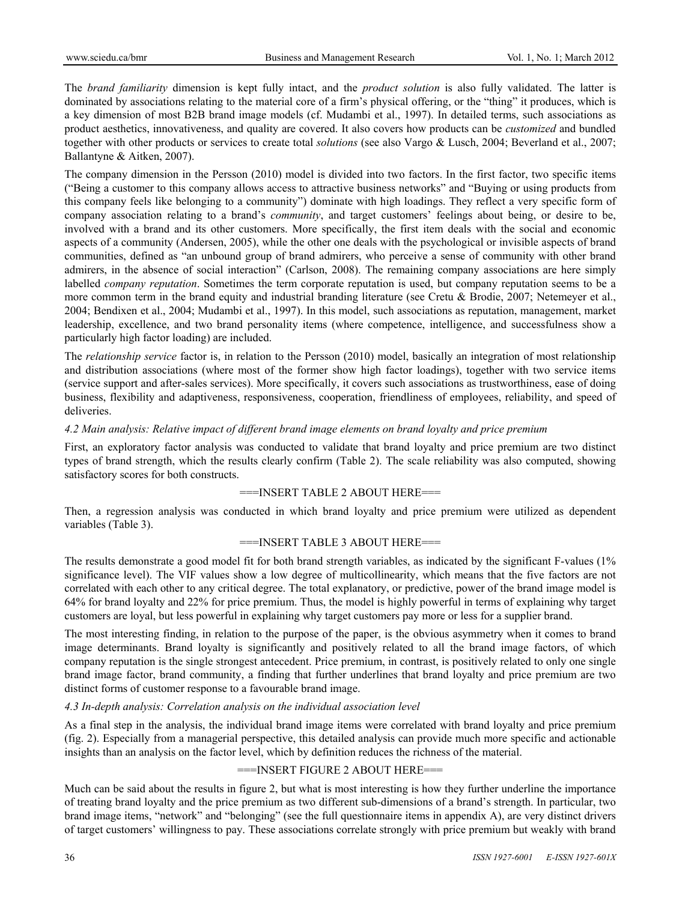The *brand familiarity* dimension is kept fully intact, and the *product solution* is also fully validated. The latter is dominated by associations relating to the material core of a firm's physical offering, or the "thing" it produces, which is a key dimension of most B2B brand image models (cf. Mudambi et al., 1997). In detailed terms, such associations as product aesthetics, innovativeness, and quality are covered. It also covers how products can be *customized* and bundled together with other products or services to create total *solutions* (see also Vargo & Lusch, 2004; Beverland et al., 2007; Ballantyne & Aitken, 2007).

The company dimension in the Persson (2010) model is divided into two factors. In the first factor, two specific items ("Being a customer to this company allows access to attractive business networks" and "Buying or using products from this company feels like belonging to a community") dominate with high loadings. They reflect a very specific form of company association relating to a brand's *community*, and target customers' feelings about being, or desire to be, involved with a brand and its other customers. More specifically, the first item deals with the social and economic aspects of a community (Andersen, 2005), while the other one deals with the psychological or invisible aspects of brand communities, defined as "an unbound group of brand admirers, who perceive a sense of community with other brand admirers, in the absence of social interaction" (Carlson, 2008). The remaining company associations are here simply labelled *company reputation*. Sometimes the term corporate reputation is used, but company reputation seems to be a more common term in the brand equity and industrial branding literature (see Cretu & Brodie, 2007; Netemeyer et al., 2004; Bendixen et al., 2004; Mudambi et al., 1997). In this model, such associations as reputation, management, market leadership, excellence, and two brand personality items (where competence, intelligence, and successfulness show a particularly high factor loading) are included.

The *relationship service* factor is, in relation to the Persson (2010) model, basically an integration of most relationship and distribution associations (where most of the former show high factor loadings), together with two service items (service support and after-sales services). More specifically, it covers such associations as trustworthiness, ease of doing business, flexibility and adaptiveness, responsiveness, cooperation, friendliness of employees, reliability, and speed of deliveries.

#### *4.2 Main analysis: Relative impact of different brand image elements on brand loyalty and price premium*

First, an exploratory factor analysis was conducted to validate that brand loyalty and price premium are two distinct types of brand strength, which the results clearly confirm (Table 2). The scale reliability was also computed, showing satisfactory scores for both constructs.

## ===INSERT TABLE 2 ABOUT HERE===

Then, a regression analysis was conducted in which brand loyalty and price premium were utilized as dependent variables (Table 3).

## ===INSERT TABLE 3 ABOUT HERE===

The results demonstrate a good model fit for both brand strength variables, as indicated by the significant F-values (1% significance level). The VIF values show a low degree of multicollinearity, which means that the five factors are not correlated with each other to any critical degree. The total explanatory, or predictive, power of the brand image model is 64% for brand loyalty and 22% for price premium. Thus, the model is highly powerful in terms of explaining why target customers are loyal, but less powerful in explaining why target customers pay more or less for a supplier brand.

The most interesting finding, in relation to the purpose of the paper, is the obvious asymmetry when it comes to brand image determinants. Brand loyalty is significantly and positively related to all the brand image factors, of which company reputation is the single strongest antecedent. Price premium, in contrast, is positively related to only one single brand image factor, brand community, a finding that further underlines that brand loyalty and price premium are two distinct forms of customer response to a favourable brand image.

## *4.3 In-depth analysis: Correlation analysis on the individual association level*

As a final step in the analysis, the individual brand image items were correlated with brand loyalty and price premium (fig. 2). Especially from a managerial perspective, this detailed analysis can provide much more specific and actionable insights than an analysis on the factor level, which by definition reduces the richness of the material.

## ===INSERT FIGURE 2 ABOUT HERE===

Much can be said about the results in figure 2, but what is most interesting is how they further underline the importance of treating brand loyalty and the price premium as two different sub-dimensions of a brand's strength. In particular, two brand image items, "network" and "belonging" (see the full questionnaire items in appendix A), are very distinct drivers of target customers' willingness to pay. These associations correlate strongly with price premium but weakly with brand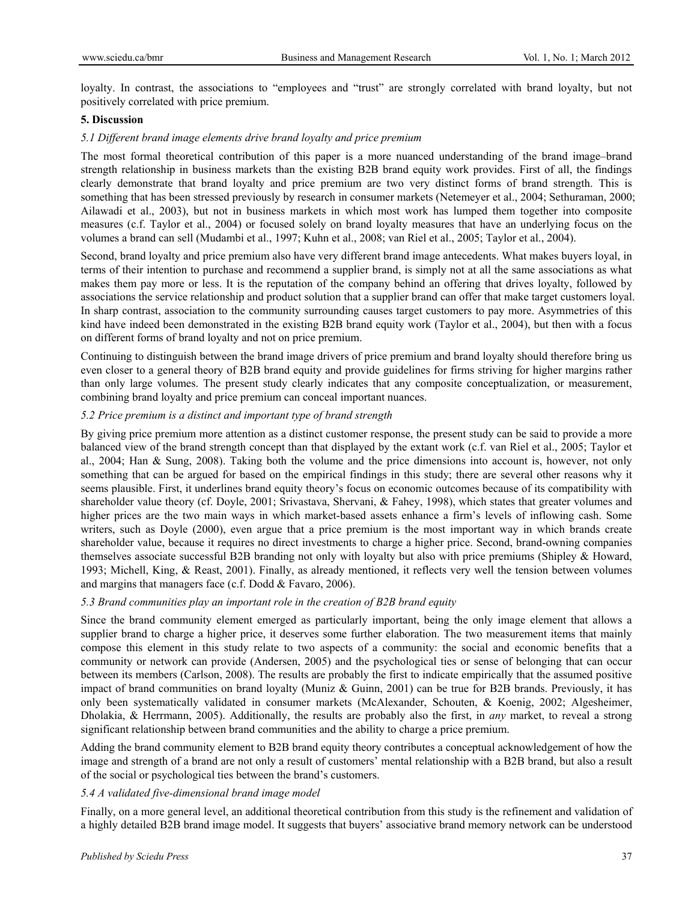loyalty. In contrast, the associations to "employees and "trust" are strongly correlated with brand loyalty, but not positively correlated with price premium.

#### **5. Discussion**

#### *5.1 Different brand image elements drive brand loyalty and price premium*

The most formal theoretical contribution of this paper is a more nuanced understanding of the brand image–brand strength relationship in business markets than the existing B2B brand equity work provides. First of all, the findings clearly demonstrate that brand loyalty and price premium are two very distinct forms of brand strength. This is something that has been stressed previously by research in consumer markets (Netemeyer et al., 2004; Sethuraman, 2000; Ailawadi et al., 2003), but not in business markets in which most work has lumped them together into composite measures (c.f. Taylor et al., 2004) or focused solely on brand loyalty measures that have an underlying focus on the volumes a brand can sell (Mudambi et al., 1997; Kuhn et al., 2008; van Riel et al., 2005; Taylor et al., 2004).

Second, brand loyalty and price premium also have very different brand image antecedents. What makes buyers loyal, in terms of their intention to purchase and recommend a supplier brand, is simply not at all the same associations as what makes them pay more or less. It is the reputation of the company behind an offering that drives loyalty, followed by associations the service relationship and product solution that a supplier brand can offer that make target customers loyal. In sharp contrast, association to the community surrounding causes target customers to pay more. Asymmetries of this kind have indeed been demonstrated in the existing B2B brand equity work (Taylor et al., 2004), but then with a focus on different forms of brand loyalty and not on price premium.

Continuing to distinguish between the brand image drivers of price premium and brand loyalty should therefore bring us even closer to a general theory of B2B brand equity and provide guidelines for firms striving for higher margins rather than only large volumes. The present study clearly indicates that any composite conceptualization, or measurement, combining brand loyalty and price premium can conceal important nuances.

## *5.2 Price premium is a distinct and important type of brand strength*

By giving price premium more attention as a distinct customer response, the present study can be said to provide a more balanced view of the brand strength concept than that displayed by the extant work (c.f. van Riel et al., 2005; Taylor et al., 2004; Han & Sung, 2008). Taking both the volume and the price dimensions into account is, however, not only something that can be argued for based on the empirical findings in this study; there are several other reasons why it seems plausible. First, it underlines brand equity theory's focus on economic outcomes because of its compatibility with shareholder value theory (cf. Doyle, 2001; Srivastava, Shervani, & Fahey, 1998), which states that greater volumes and higher prices are the two main ways in which market-based assets enhance a firm's levels of inflowing cash. Some writers, such as Doyle (2000), even argue that a price premium is the most important way in which brands create shareholder value, because it requires no direct investments to charge a higher price. Second, brand-owning companies themselves associate successful B2B branding not only with loyalty but also with price premiums (Shipley & Howard, 1993; Michell, King, & Reast, 2001). Finally, as already mentioned, it reflects very well the tension between volumes and margins that managers face (c.f. Dodd & Favaro, 2006).

#### *5.3 Brand communities play an important role in the creation of B2B brand equity*

Since the brand community element emerged as particularly important, being the only image element that allows a supplier brand to charge a higher price, it deserves some further elaboration. The two measurement items that mainly compose this element in this study relate to two aspects of a community: the social and economic benefits that a community or network can provide (Andersen, 2005) and the psychological ties or sense of belonging that can occur between its members (Carlson, 2008). The results are probably the first to indicate empirically that the assumed positive impact of brand communities on brand loyalty (Muniz & Guinn, 2001) can be true for B2B brands. Previously, it has only been systematically validated in consumer markets (McAlexander, Schouten, & Koenig, 2002; Algesheimer, Dholakia, & Herrmann, 2005). Additionally, the results are probably also the first, in *any* market, to reveal a strong significant relationship between brand communities and the ability to charge a price premium.

Adding the brand community element to B2B brand equity theory contributes a conceptual acknowledgement of how the image and strength of a brand are not only a result of customers' mental relationship with a B2B brand, but also a result of the social or psychological ties between the brand's customers.

## *5.4 A validated five-dimensional brand image model*

Finally, on a more general level, an additional theoretical contribution from this study is the refinement and validation of a highly detailed B2B brand image model. It suggests that buyers' associative brand memory network can be understood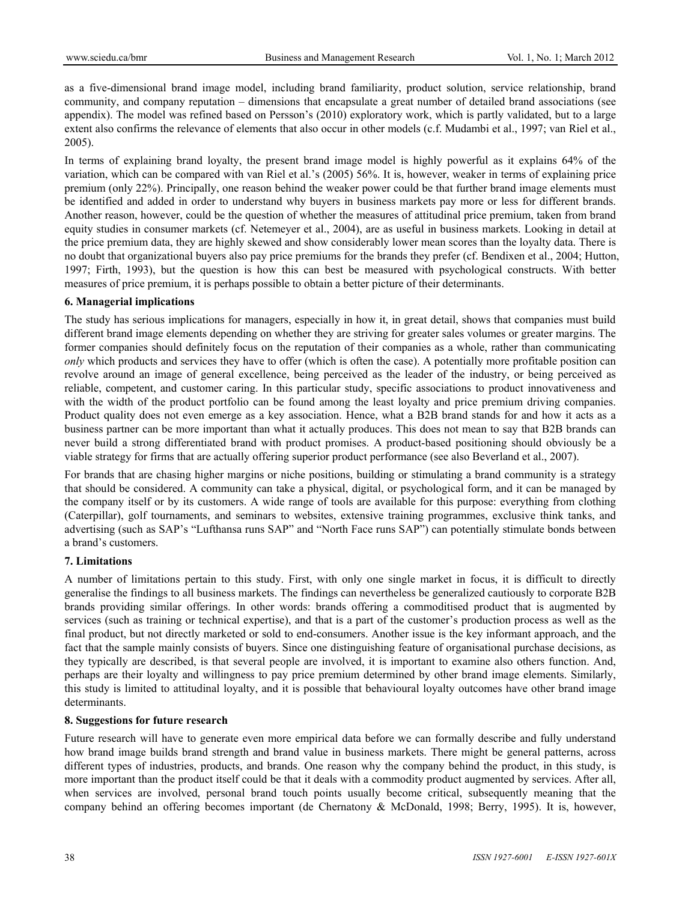as a five-dimensional brand image model, including brand familiarity, product solution, service relationship, brand community, and company reputation – dimensions that encapsulate a great number of detailed brand associations (see appendix). The model was refined based on Persson's (2010) exploratory work, which is partly validated, but to a large extent also confirms the relevance of elements that also occur in other models (c.f. Mudambi et al., 1997; van Riel et al., 2005).

In terms of explaining brand loyalty, the present brand image model is highly powerful as it explains 64% of the variation, which can be compared with van Riel et al.'s (2005) 56%. It is, however, weaker in terms of explaining price premium (only 22%). Principally, one reason behind the weaker power could be that further brand image elements must be identified and added in order to understand why buyers in business markets pay more or less for different brands. Another reason, however, could be the question of whether the measures of attitudinal price premium, taken from brand equity studies in consumer markets (cf. Netemeyer et al., 2004), are as useful in business markets. Looking in detail at the price premium data, they are highly skewed and show considerably lower mean scores than the loyalty data. There is no doubt that organizational buyers also pay price premiums for the brands they prefer (cf. Bendixen et al., 2004; Hutton, 1997; Firth, 1993), but the question is how this can best be measured with psychological constructs. With better measures of price premium, it is perhaps possible to obtain a better picture of their determinants.

#### **6. Managerial implications**

The study has serious implications for managers, especially in how it, in great detail, shows that companies must build different brand image elements depending on whether they are striving for greater sales volumes or greater margins. The former companies should definitely focus on the reputation of their companies as a whole, rather than communicating *only* which products and services they have to offer (which is often the case). A potentially more profitable position can revolve around an image of general excellence, being perceived as the leader of the industry, or being perceived as reliable, competent, and customer caring. In this particular study, specific associations to product innovativeness and with the width of the product portfolio can be found among the least loyalty and price premium driving companies. Product quality does not even emerge as a key association. Hence, what a B2B brand stands for and how it acts as a business partner can be more important than what it actually produces. This does not mean to say that B2B brands can never build a strong differentiated brand with product promises. A product-based positioning should obviously be a viable strategy for firms that are actually offering superior product performance (see also Beverland et al., 2007).

For brands that are chasing higher margins or niche positions, building or stimulating a brand community is a strategy that should be considered. A community can take a physical, digital, or psychological form, and it can be managed by the company itself or by its customers. A wide range of tools are available for this purpose: everything from clothing (Caterpillar), golf tournaments, and seminars to websites, extensive training programmes, exclusive think tanks, and advertising (such as SAP's "Lufthansa runs SAP" and "North Face runs SAP") can potentially stimulate bonds between a brand's customers.

## **7. Limitations**

A number of limitations pertain to this study. First, with only one single market in focus, it is difficult to directly generalise the findings to all business markets. The findings can nevertheless be generalized cautiously to corporate B2B brands providing similar offerings. In other words: brands offering a commoditised product that is augmented by services (such as training or technical expertise), and that is a part of the customer's production process as well as the final product, but not directly marketed or sold to end-consumers. Another issue is the key informant approach, and the fact that the sample mainly consists of buyers. Since one distinguishing feature of organisational purchase decisions, as they typically are described, is that several people are involved, it is important to examine also others function. And, perhaps are their loyalty and willingness to pay price premium determined by other brand image elements. Similarly, this study is limited to attitudinal loyalty, and it is possible that behavioural loyalty outcomes have other brand image determinants.

#### **8. Suggestions for future research**

Future research will have to generate even more empirical data before we can formally describe and fully understand how brand image builds brand strength and brand value in business markets. There might be general patterns, across different types of industries, products, and brands. One reason why the company behind the product, in this study, is more important than the product itself could be that it deals with a commodity product augmented by services. After all, when services are involved, personal brand touch points usually become critical, subsequently meaning that the company behind an offering becomes important (de Chernatony & McDonald, 1998; Berry, 1995). It is, however,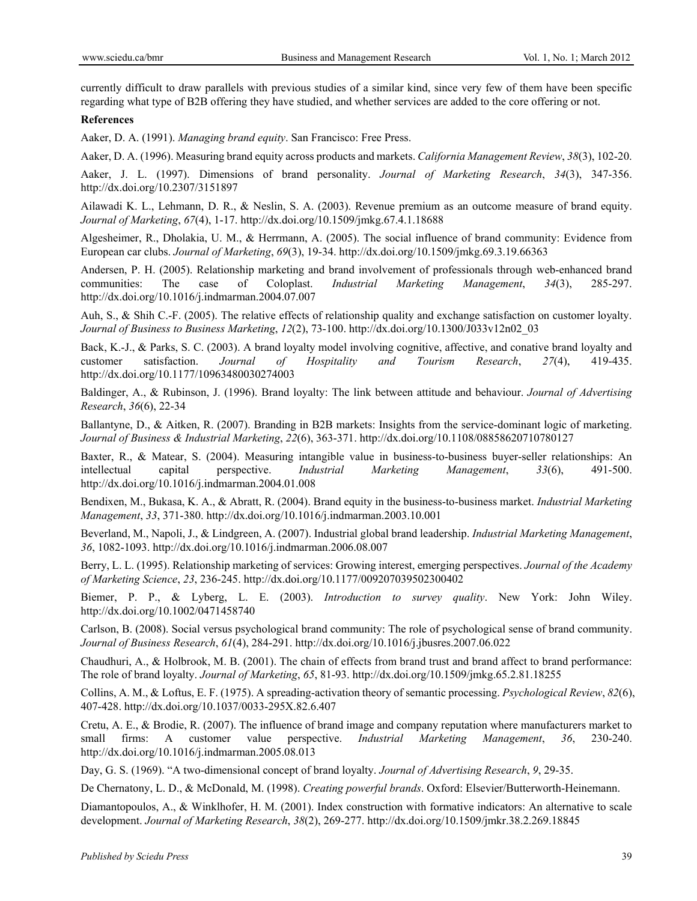currently difficult to draw parallels with previous studies of a similar kind, since very few of them have been specific regarding what type of B2B offering they have studied, and whether services are added to the core offering or not.

#### **References**

Aaker, D. A. (1991). *Managing brand equity*. San Francisco: Free Press.

Aaker, D. A. (1996). Measuring brand equity across products and markets. *California Management Review*, *38*(3), 102-20.

Aaker, J. L. (1997). Dimensions of brand personality. *Journal of Marketing Research*, *34*(3), 347-356. http://dx.doi.org/10.2307/3151897

Ailawadi K. L., Lehmann, D. R., & Neslin, S. A. (2003). Revenue premium as an outcome measure of brand equity. *Journal of Marketing*, *67*(4), 1-17. http://dx.doi.org/10.1509/jmkg.67.4.1.18688

Algesheimer, R., Dholakia, U. M., & Herrmann, A. (2005). The social influence of brand community: Evidence from European car clubs. *Journal of Marketing*, *69*(3), 19-34. http://dx.doi.org/10.1509/jmkg.69.3.19.66363

Andersen, P. H. (2005). Relationship marketing and brand involvement of professionals through web-enhanced brand communities: The case of Coloplast. *Industrial Marketing Management*, *34*(3), 285-297. http://dx.doi.org/10.1016/j.indmarman.2004.07.007

Auh, S., & Shih C.-F. (2005). The relative effects of relationship quality and exchange satisfaction on customer loyalty. *Journal of Business to Business Marketing*, *12*(2), 73-100. http://dx.doi.org/10.1300/J033v12n02\_03

Back, K.-J., & Parks, S. C. (2003). A brand loyalty model involving cognitive, affective, and conative brand loyalty and customer satisfaction. *Journal of Hospitality and Tourism Research*, *27*(4), 419-435. http://dx.doi.org/10.1177/10963480030274003

Baldinger, A., & Rubinson, J. (1996). Brand loyalty: The link between attitude and behaviour. *Journal of Advertising Research*, *36*(6), 22-34

Ballantyne, D., & Aitken, R. (2007). Branding in B2B markets: Insights from the service-dominant logic of marketing. *Journal of Business & Industrial Marketing*, *22*(6), 363-371. http://dx.doi.org/10.1108/08858620710780127

Baxter, R., & Matear, S. (2004). Measuring intangible value in business-to-business buyer-seller relationships: An intellectual capital perspective. *Industrial Marketing Management*, *33*(6), 491-500. http://dx.doi.org/10.1016/j.indmarman.2004.01.008

Bendixen, M., Bukasa, K. A., & Abratt, R. (2004). Brand equity in the business-to-business market. *Industrial Marketing Management*, *33*, 371-380. http://dx.doi.org/10.1016/j.indmarman.2003.10.001

Beverland, M., Napoli, J., & Lindgreen, A. (2007). Industrial global brand leadership. *Industrial Marketing Management*, *36*, 1082-1093. http://dx.doi.org/10.1016/j.indmarman.2006.08.007

Berry, L. L. (1995). Relationship marketing of services: Growing interest, emerging perspectives. *Journal of the Academy of Marketing Science*, *23*, 236-245. http://dx.doi.org/10.1177/009207039502300402

Biemer, P. P., & Lyberg, L. E. (2003). *Introduction to survey quality*. New York: John Wiley. http://dx.doi.org/10.1002/0471458740

Carlson, B. (2008). Social versus psychological brand community: The role of psychological sense of brand community. *Journal of Business Research*, *61*(4), 284-291. http://dx.doi.org/10.1016/j.jbusres.2007.06.022

Chaudhuri, A., & Holbrook, M. B. (2001). The chain of effects from brand trust and brand affect to brand performance: The role of brand loyalty. *Journal of Marketing*, *65*, 81-93. http://dx.doi.org/10.1509/jmkg.65.2.81.18255

Collins, A. M., & Loftus, E. F. (1975). A spreading-activation theory of semantic processing. *Psychological Review*, *82*(6), 407-428. http://dx.doi.org/10.1037/0033-295X.82.6.407

Cretu, A. E., & Brodie, R. (2007). The influence of brand image and company reputation where manufacturers market to small firms: A customer value perspective. *Industrial Marketing Management*, *36*, 230-240. http://dx.doi.org/10.1016/j.indmarman.2005.08.013

Day, G. S. (1969). "A two-dimensional concept of brand loyalty. *Journal of Advertising Research*, *9*, 29-35.

De Chernatony, L. D., & McDonald, M. (1998). *Creating powerful brands*. Oxford: Elsevier/Butterworth-Heinemann.

Diamantopoulos, A., & Winklhofer, H. M. (2001). Index construction with formative indicators: An alternative to scale development. *Journal of Marketing Research*, *38*(2), 269-277. http://dx.doi.org/10.1509/jmkr.38.2.269.18845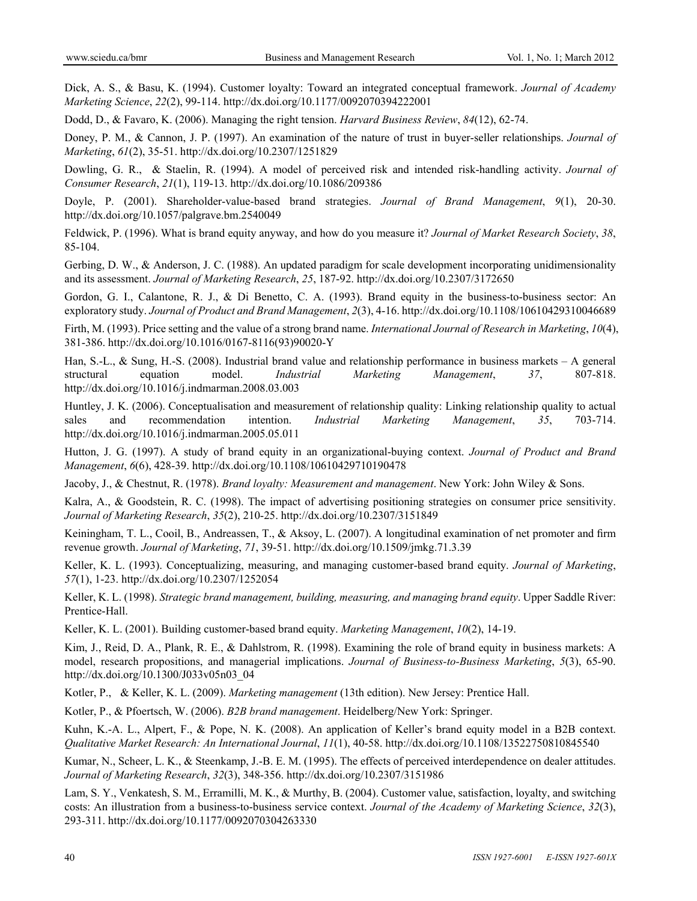Dick, A. S., & Basu, K. (1994). Customer loyalty: Toward an integrated conceptual framework. *Journal of Academy Marketing Science*, *22*(2), 99-114. http://dx.doi.org/10.1177/0092070394222001

Dodd, D., & Favaro, K. (2006). Managing the right tension. *Harvard Business Review*, *84*(12), 62-74.

Doney, P. M., & Cannon, J. P. (1997). An examination of the nature of trust in buyer-seller relationships. *Journal of Marketing*, *61*(2), 35-51. http://dx.doi.org/10.2307/1251829

Dowling, G. R., & Staelin, R. (1994). A model of perceived risk and intended risk-handling activity. *Journal of Consumer Research*, *21*(1), 119-13. http://dx.doi.org/10.1086/209386

Doyle, P. (2001). Shareholder-value-based brand strategies. *Journal of Brand Management*, *9*(1), 20-30. http://dx.doi.org/10.1057/palgrave.bm.2540049

Feldwick, P. (1996). What is brand equity anyway, and how do you measure it? *Journal of Market Research Society*, *38*, 85-104.

Gerbing, D. W., & Anderson, J. C. (1988). An updated paradigm for scale development incorporating unidimensionality and its assessment. *Journal of Marketing Research*, *25*, 187-92. http://dx.doi.org/10.2307/3172650

Gordon, G. I., Calantone, R. J., & Di Benetto, C. A. (1993). Brand equity in the business-to-business sector: An exploratory study. *Journal of Product and Brand Management*, *2*(3), 4-16. http://dx.doi.org/10.1108/10610429310046689

Firth, M. (1993). Price setting and the value of a strong brand name. *International Journal of Research in Marketing*, *10*(4), 381-386. http://dx.doi.org/10.1016/0167-8116(93)90020-Y

Han, S.-L., & Sung, H.-S. (2008). Industrial brand value and relationship performance in business markets – A general structural equation model. *Industrial Marketing Management*, *37*, 807-818. http://dx.doi.org/10.1016/j.indmarman.2008.03.003

Huntley, J. K. (2006). Conceptualisation and measurement of relationship quality: Linking relationship quality to actual sales and recommendation intention. *Industrial Marketing Management*, *35*, 703-714. http://dx.doi.org/10.1016/j.indmarman.2005.05.011

Hutton, J. G. (1997). A study of brand equity in an organizational-buying context. *Journal of Product and Brand Management*, *6*(6), 428-39. http://dx.doi.org/10.1108/10610429710190478

Jacoby, J., & Chestnut, R. (1978). *Brand loyalty: Measurement and management*. New York: John Wiley & Sons.

Kalra, A., & Goodstein, R. C. (1998). The impact of advertising positioning strategies on consumer price sensitivity. *Journal of Marketing Research*, *35*(2), 210-25. http://dx.doi.org/10.2307/3151849

Keiningham, T. L., Cooil, B., Andreassen, T., & Aksoy, L. (2007). A longitudinal examination of net promoter and firm revenue growth. *Journal of Marketing*, *71*, 39-51. http://dx.doi.org/10.1509/jmkg.71.3.39

Keller, K. L. (1993). Conceptualizing, measuring, and managing customer-based brand equity. *Journal of Marketing*, *57*(1), 1-23. http://dx.doi.org/10.2307/1252054

Keller, K. L. (1998). *Strategic brand management, building, measuring, and managing brand equity*. Upper Saddle River: Prentice-Hall.

Keller, K. L. (2001). Building customer-based brand equity. *Marketing Management*, *10*(2), 14-19.

Kim, J., Reid, D. A., Plank, R. E., & Dahlstrom, R. (1998). Examining the role of brand equity in business markets: A model, research propositions, and managerial implications. *Journal of Business-to-Business Marketing*, *5*(3), 65-90. http://dx.doi.org/10.1300/J033v05n03\_04

Kotler, P., & Keller, K. L. (2009). *Marketing management* (13th edition). New Jersey: Prentice Hall.

Kotler, P., & Pfoertsch, W. (2006). *B2B brand management*. Heidelberg/New York: Springer.

Kuhn, K.-A. L., Alpert, F., & Pope, N. K. (2008). An application of Keller's brand equity model in a B2B context. *Qualitative Market Research: An International Journal*, *11*(1), 40-58. http://dx.doi.org/10.1108/13522750810845540

Kumar, N., Scheer, L. K., & Steenkamp, J.-B. E. M. (1995). The effects of perceived interdependence on dealer attitudes. *Journal of Marketing Research*, *32*(3), 348-356. http://dx.doi.org/10.2307/3151986

Lam, S. Y., Venkatesh, S. M., Erramilli, M. K., & Murthy, B. (2004). Customer value, satisfaction, loyalty, and switching costs: An illustration from a business-to-business service context. *Journal of the Academy of Marketing Science*, *32*(3), 293-311. http://dx.doi.org/10.1177/0092070304263330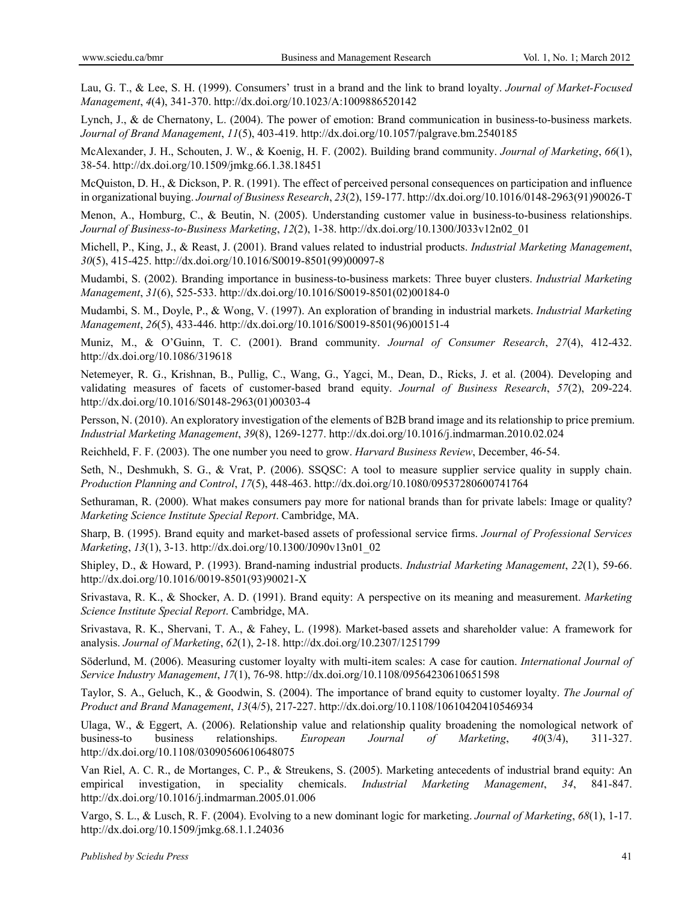Lau, G. T., & Lee, S. H. (1999). Consumers' trust in a brand and the link to brand loyalty. *Journal of Market-Focused Management*, *4*(4), 341-370. http://dx.doi.org/10.1023/A:1009886520142

Lynch, J., & de Chernatony, L. (2004). The power of emotion: Brand communication in business-to-business markets. *Journal of Brand Management*, *11*(5), 403-419. http://dx.doi.org/10.1057/palgrave.bm.2540185

McAlexander, J. H., Schouten, J. W., & Koenig, H. F. (2002). Building brand community. *Journal of Marketing*, *66*(1), 38-54. http://dx.doi.org/10.1509/jmkg.66.1.38.18451

McQuiston, D. H., & Dickson, P. R. (1991). The effect of perceived personal consequences on participation and influence in organizational buying. *Journal of Business Research*, *23*(2), 159-177. http://dx.doi.org/10.1016/0148-2963(91)90026-T

Menon, A., Homburg, C., & Beutin, N. (2005). Understanding customer value in business-to-business relationships. *Journal of Business-to-Business Marketing*, *12*(2), 1-38. http://dx.doi.org/10.1300/J033v12n02\_01

Michell, P., King, J., & Reast, J. (2001). Brand values related to industrial products. *Industrial Marketing Management*, *30*(5), 415-425. http://dx.doi.org/10.1016/S0019-8501(99)00097-8

Mudambi, S. (2002). Branding importance in business-to-business markets: Three buyer clusters. *Industrial Marketing Management*, *31*(6), 525-533. http://dx.doi.org/10.1016/S0019-8501(02)00184-0

Mudambi, S. M., Doyle, P., & Wong, V. (1997). An exploration of branding in industrial markets. *Industrial Marketing Management*, *26*(5), 433-446. http://dx.doi.org/10.1016/S0019-8501(96)00151-4

Muniz, M., & O'Guinn, T. C. (2001). Brand community. *Journal of Consumer Research*, *27*(4), 412-432. http://dx.doi.org/10.1086/319618

Netemeyer, R. G., Krishnan, B., Pullig, C., Wang, G., Yagci, M., Dean, D., Ricks, J. et al. (2004). Developing and validating measures of facets of customer-based brand equity. *Journal of Business Research*, *57*(2), 209-224. http://dx.doi.org/10.1016/S0148-2963(01)00303-4

Persson, N. (2010). An exploratory investigation of the elements of B2B brand image and its relationship to price premium. *Industrial Marketing Management*, *39*(8), 1269-1277. http://dx.doi.org/10.1016/j.indmarman.2010.02.024

Reichheld, F. F. (2003). The one number you need to grow. *Harvard Business Review*, December, 46-54.

Seth, N., Deshmukh, S. G., & Vrat, P. (2006). SSQSC: A tool to measure supplier service quality in supply chain. *Production Planning and Control*, *17*(5), 448-463. http://dx.doi.org/10.1080/09537280600741764

Sethuraman, R. (2000). What makes consumers pay more for national brands than for private labels: Image or quality? *Marketing Science Institute Special Report*. Cambridge, MA.

Sharp, B. (1995). Brand equity and market-based assets of professional service firms. *Journal of Professional Services Marketing*, *13*(1), 3-13. http://dx.doi.org/10.1300/J090v13n01\_02

Shipley, D., & Howard, P. (1993). Brand-naming industrial products. *Industrial Marketing Management*, *22*(1), 59-66. http://dx.doi.org/10.1016/0019-8501(93)90021-X

Srivastava, R. K., & Shocker, A. D. (1991). Brand equity: A perspective on its meaning and measurement. *Marketing Science Institute Special Report*. Cambridge, MA.

Srivastava, R. K., Shervani, T. A., & Fahey, L. (1998). Market-based assets and shareholder value: A framework for analysis. *Journal of Marketing*, *62*(1), 2-18. http://dx.doi.org/10.2307/1251799

Söderlund, M. (2006). Measuring customer loyalty with multi-item scales: A case for caution. *International Journal of Service Industry Management*, *17*(1), 76-98. http://dx.doi.org/10.1108/09564230610651598

Taylor, S. A., Geluch, K., & Goodwin, S. (2004). The importance of brand equity to customer loyalty. *The Journal of Product and Brand Management*, *13*(4/5), 217-227. http://dx.doi.org/10.1108/10610420410546934

Ulaga, W., & Eggert, A. (2006). Relationship value and relationship quality broadening the nomological network of business-to business relationships. *European Journal of Marketing*, *40*(3/4), 311-327. http://dx.doi.org/10.1108/03090560610648075

Van Riel, A. C. R., de Mortanges, C. P., & Streukens, S. (2005). Marketing antecedents of industrial brand equity: An empirical investigation, in speciality chemicals. *Industrial Marketing Management*, *34*, 841-847. http://dx.doi.org/10.1016/j.indmarman.2005.01.006

Vargo, S. L., & Lusch, R. F. (2004). Evolving to a new dominant logic for marketing. *Journal of Marketing*, *68*(1), 1-17. http://dx.doi.org/10.1509/jmkg.68.1.1.24036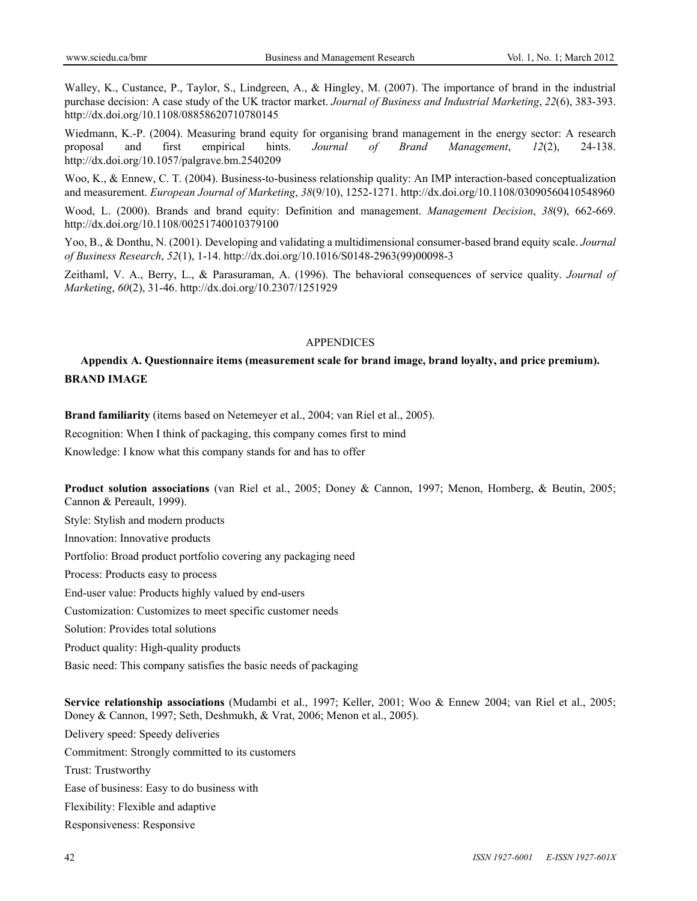Walley, K., Custance, P., Taylor, S., Lindgreen, A., & Hingley, M. (2007). The importance of brand in the industrial purchase decision: A case study of the UK tractor market. *Journal of Business and Industrial Marketing*, *22*(6), 383-393. http://dx.doi.org/10.1108/08858620710780145

Wiedmann, K.-P. (2004). Measuring brand equity for organising brand management in the energy sector: A research proposal and first empirical hints. *Journal of Brand Management*, *12*(2), 24-138. http://dx.doi.org/10.1057/palgrave.bm.2540209

Woo, K., & Ennew, C. T. (2004). Business-to-business relationship quality: An IMP interaction-based conceptualization and measurement. *European Journal of Marketing*, *38*(9/10), 1252-1271. http://dx.doi.org/10.1108/03090560410548960

Wood, L. (2000). Brands and brand equity: Definition and management. *Management Decision*, *38*(9), 662-669. http://dx.doi.org/10.1108/00251740010379100

Yoo, B., & Donthu, N. (2001). Developing and validating a multidimensional consumer-based brand equity scale. *Journal of Business Research*, *52*(1), 1-14. http://dx.doi.org/10.1016/S0148-2963(99)00098-3

Zeithaml, V. A., Berry, L., & Parasuraman, A. (1996). The behavioral consequences of service quality. *Journal of Marketing*, *60*(2), 31-46. http://dx.doi.org/10.2307/1251929

#### APPENDICES

## **Appendix A. Questionnaire items (measurement scale for brand image, brand loyalty, and price premium). BRAND IMAGE**

**Brand familiarity** (items based on Netemeyer et al., 2004; van Riel et al., 2005).

Recognition: When I think of packaging, this company comes first to mind

Knowledge: I know what this company stands for and has to offer

**Product solution associations** (van Riel et al., 2005; Doney & Cannon, 1997; Menon, Homberg, & Beutin, 2005; Cannon & Pereault, 1999).

Style: Stylish and modern products

Innovation: Innovative products

Portfolio: Broad product portfolio covering any packaging need

Process: Products easy to process

End-user value: Products highly valued by end-users

Customization: Customizes to meet specific customer needs

Solution: Provides total solutions

Product quality: High-quality products

Basic need: This company satisfies the basic needs of packaging

**Service relationship associations** (Mudambi et al., 1997; Keller, 2001; Woo & Ennew 2004; van Riel et al., 2005; Doney & Cannon, 1997; Seth, Deshmukh, & Vrat, 2006; Menon et al., 2005).

Delivery speed: Speedy deliveries Commitment: Strongly committed to its customers Trust: Trustworthy Ease of business: Easy to do business with Flexibility: Flexible and adaptive Responsiveness: Responsive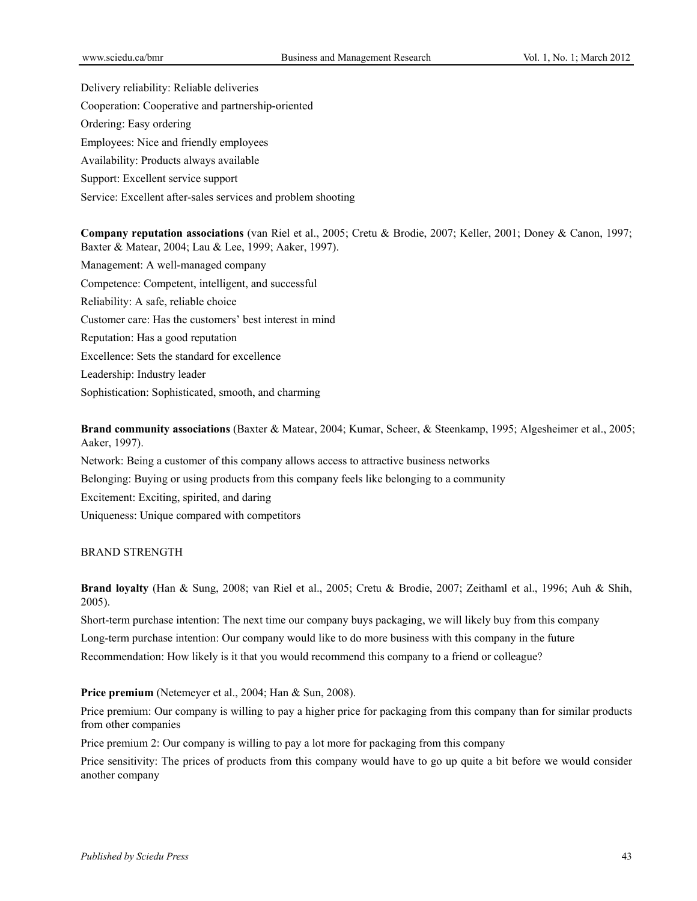Delivery reliability: Reliable deliveries Cooperation: Cooperative and partnership-oriented Ordering: Easy ordering Employees: Nice and friendly employees Availability: Products always available Support: Excellent service support Service: Excellent after-sales services and problem shooting

**Company reputation associations** (van Riel et al., 2005; Cretu & Brodie, 2007; Keller, 2001; Doney & Canon, 1997; Baxter & Matear, 2004; Lau & Lee, 1999; Aaker, 1997). Management: A well-managed company Competence: Competent, intelligent, and successful Reliability: A safe, reliable choice Customer care: Has the customers' best interest in mind Reputation: Has a good reputation Excellence: Sets the standard for excellence Leadership: Industry leader Sophistication: Sophisticated, smooth, and charming

**Brand community associations** (Baxter & Matear, 2004; Kumar, Scheer, & Steenkamp, 1995; Algesheimer et al., 2005; Aaker, 1997).

Network: Being a customer of this company allows access to attractive business networks Belonging: Buying or using products from this company feels like belonging to a community Excitement: Exciting, spirited, and daring Uniqueness: Unique compared with competitors

## BRAND STRENGTH

**Brand loyalty** (Han & Sung, 2008; van Riel et al., 2005; Cretu & Brodie, 2007; Zeithaml et al., 1996; Auh & Shih, 2005).

Short-term purchase intention: The next time our company buys packaging, we will likely buy from this company Long-term purchase intention: Our company would like to do more business with this company in the future Recommendation: How likely is it that you would recommend this company to a friend or colleague?

**Price premium** (Netemeyer et al., 2004; Han & Sun, 2008).

Price premium: Our company is willing to pay a higher price for packaging from this company than for similar products from other companies

Price premium 2: Our company is willing to pay a lot more for packaging from this company

Price sensitivity: The prices of products from this company would have to go up quite a bit before we would consider another company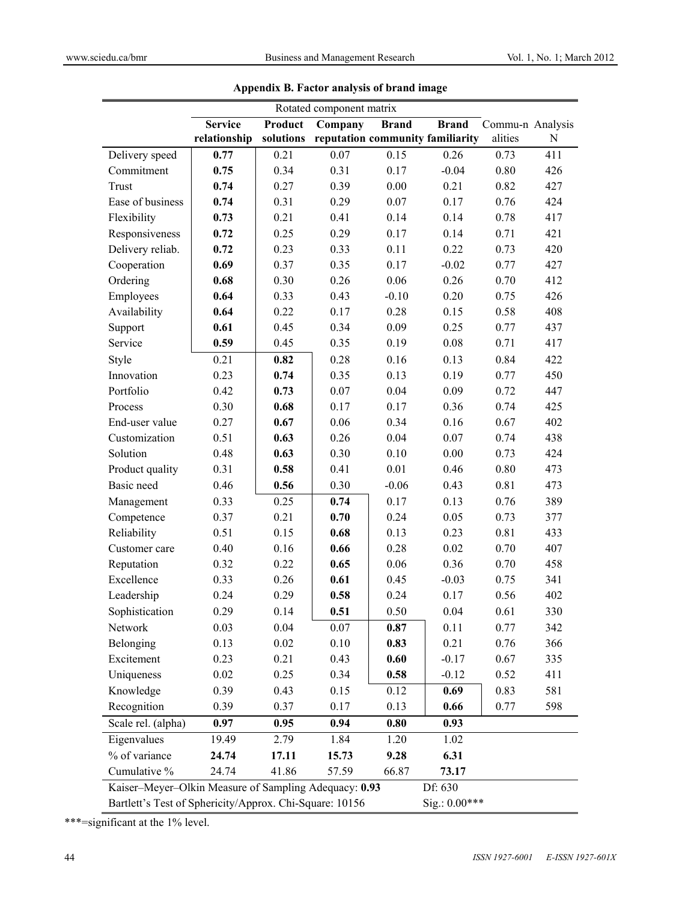| Rotated component matrix                                                 |                |                                    |       |                                  |              |                  |           |  |
|--------------------------------------------------------------------------|----------------|------------------------------------|-------|----------------------------------|--------------|------------------|-----------|--|
|                                                                          | <b>Service</b> | Product<br>Company<br><b>Brand</b> |       |                                  | <b>Brand</b> | Commu-n Analysis |           |  |
|                                                                          | relationship   | solutions                          |       | reputation community familiarity |              | alities          | ${\bf N}$ |  |
| Delivery speed                                                           | 0.77           | 0.21                               | 0.07  | 0.15                             | 0.26         | 0.73             | 411       |  |
| Commitment                                                               | 0.75           | 0.34                               | 0.31  | 0.17                             | $-0.04$      | 0.80             | 426       |  |
| Trust                                                                    | 0.74           | 0.27                               | 0.39  | 0.00                             | 0.21         | 0.82             | 427       |  |
| Ease of business                                                         | 0.74           | 0.31                               | 0.29  | 0.07                             | 0.17         | 0.76             | 424       |  |
| Flexibility                                                              | 0.73           | 0.21                               | 0.41  | 0.14                             | 0.14         | 0.78             | 417       |  |
| Responsiveness                                                           | 0.72           | 0.25                               | 0.29  | 0.17                             | 0.14         | 0.71             | 421       |  |
| Delivery reliab.                                                         | 0.72           | 0.23                               | 0.33  | 0.11                             | 0.22         | 0.73             | 420       |  |
| Cooperation                                                              | 0.69           | 0.37                               | 0.35  | 0.17                             | $-0.02$      | 0.77             | 427       |  |
| Ordering                                                                 | 0.68           | 0.30                               | 0.26  | 0.06                             | 0.26         | 0.70             | 412       |  |
| Employees                                                                | 0.64           | 0.33                               | 0.43  | $-0.10$                          | 0.20         | 0.75             | 426       |  |
| Availability                                                             | 0.64           | 0.22                               | 0.17  | 0.28                             | 0.15         | 0.58             | 408       |  |
| Support                                                                  | 0.61           | 0.45                               | 0.34  | 0.09                             | 0.25         | 0.77             | 437       |  |
| Service                                                                  | 0.59           | 0.45                               | 0.35  | 0.19                             | 0.08         | 0.71             | 417       |  |
| Style                                                                    | 0.21           | 0.82                               | 0.28  | 0.16                             | 0.13         | 0.84             | 422       |  |
| Innovation                                                               | 0.23           | 0.74                               | 0.35  | 0.13                             | 0.19         | 0.77             | 450       |  |
| Portfolio                                                                | 0.42           | 0.73                               | 0.07  | 0.04                             | 0.09         | 0.72             | 447       |  |
| Process                                                                  | 0.30           | 0.68                               | 0.17  | 0.17                             | 0.36         | 0.74             | 425       |  |
| End-user value                                                           | 0.27           | 0.67                               | 0.06  | 0.34                             | 0.16         | 0.67             | 402       |  |
| Customization                                                            | 0.51           | 0.63                               | 0.26  | 0.04                             | 0.07         | 0.74             | 438       |  |
| Solution                                                                 | 0.48           | 0.63                               | 0.30  | 0.10                             | 0.00         | 0.73             | 424       |  |
| Product quality                                                          | 0.31           | 0.58                               | 0.41  | 0.01                             | 0.46         | 0.80             | 473       |  |
| Basic need                                                               | 0.46           | 0.56                               | 0.30  | $-0.06$                          | 0.43         | 0.81             | 473       |  |
| Management                                                               | 0.33           | 0.25                               | 0.74  | 0.17                             | 0.13         | 0.76             | 389       |  |
| Competence                                                               | 0.37           | 0.21                               | 0.70  | 0.24                             | 0.05         | 0.73             | 377       |  |
| Reliability                                                              | 0.51           | 0.15                               | 0.68  | 0.13                             | 0.23         | 0.81             | 433       |  |
| Customer care                                                            | 0.40           | 0.16                               | 0.66  | 0.28                             | 0.02         | 0.70             | 407       |  |
| Reputation                                                               | 0.32           | 0.22                               | 0.65  | 0.06                             | 0.36         | 0.70             | 458       |  |
| Excellence                                                               | 0.33           | 0.26                               | 0.61  | 0.45                             | $-0.03$      | 0.75             | 341       |  |
| Leadership                                                               | 0.24           | 0.29                               | 0.58  | 0.24                             | 0.17         | 0.56             | 402       |  |
| Sophistication                                                           | 0.29           | 0.14                               | 0.51  | 0.50                             | 0.04         | 0.61             | 330       |  |
| Network                                                                  | 0.03           | 0.04                               | 0.07  | 0.87                             | 0.11         | 0.77             | 342       |  |
| Belonging                                                                | 0.13           | 0.02                               | 0.10  | 0.83                             | 0.21         | 0.76             | 366       |  |
| Excitement                                                               | 0.23           | 0.21                               | 0.43  | 0.60                             | $-0.17$      | 0.67             | 335       |  |
| Uniqueness                                                               | 0.02           | 0.25                               | 0.34  | 0.58                             | $-0.12$      | 0.52             | 411       |  |
| Knowledge                                                                | 0.39           | 0.43                               | 0.15  | 0.12                             | 0.69         | 0.83             | 581       |  |
| Recognition                                                              | 0.39           | 0.37                               | 0.17  | 0.13                             | 0.66         | 0.77             | 598       |  |
| Scale rel. (alpha)                                                       | 0.97           | 0.95                               | 0.94  | 0.80                             | 0.93         |                  |           |  |
| Eigenvalues                                                              | 19.49          | 2.79                               | 1.84  | 1.20                             | 1.02         |                  |           |  |
| % of variance                                                            | 24.74          | 17.11                              | 15.73 | 9.28                             | 6.31         |                  |           |  |
| Cumulative %                                                             | 24.74          | 41.86                              | 57.59 | 66.87                            | 73.17        |                  |           |  |
| Kaiser-Meyer-Olkin Measure of Sampling Adequacy: 0.93                    |                |                                    |       |                                  | Df: 630      |                  |           |  |
| Sig.: 0.00***<br>Bartlett's Test of Sphericity/Approx. Chi-Square: 10156 |                |                                    |       |                                  |              |                  |           |  |

**Appendix B. Factor analysis of brand image** 

\*\*\*=significant at the 1% level.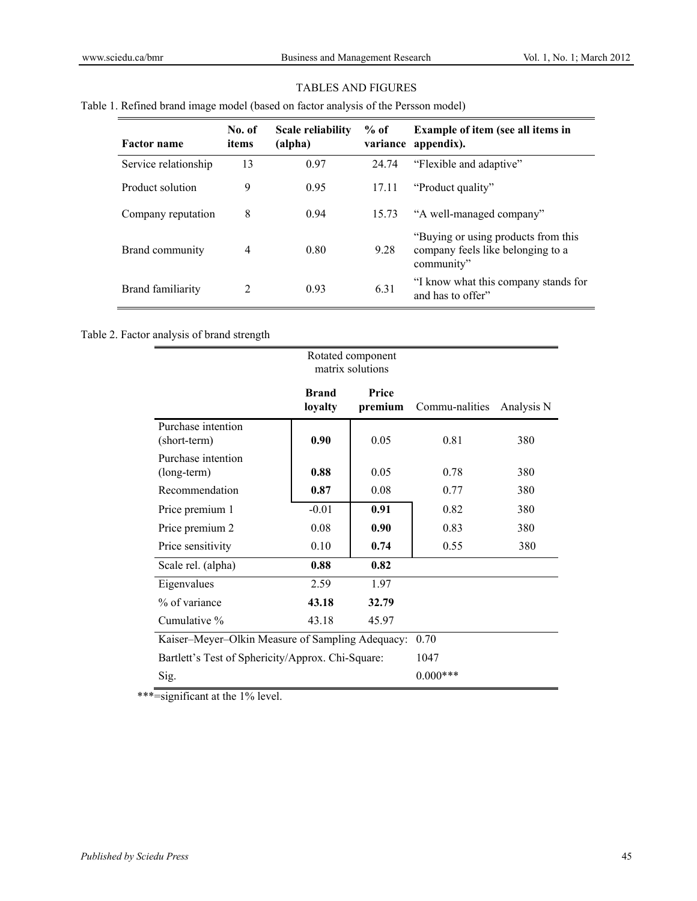## TABLES AND FIGURES

## Table 1. Refined brand image model (based on factor analysis of the Persson model)

| <b>Factor name</b>   | No. of<br>items | Scale reliability<br>(alpha) | $%$ of | <b>Example of item (see all items in</b><br>variance appendix).                         |
|----------------------|-----------------|------------------------------|--------|-----------------------------------------------------------------------------------------|
| Service relationship | 13              | 0.97                         | 24.74  | "Flexible and adaptive"                                                                 |
| Product solution     | 9               | 0.95                         | 17.11  | "Product quality"                                                                       |
| Company reputation   | 8               | 0.94                         | 15.73  | "A well-managed company"                                                                |
| Brand community      | $\overline{4}$  | 0.80                         | 9.28   | "Buying or using products from this"<br>company feels like belonging to a<br>community" |
| Brand familiarity    | $\mathfrak{D}$  | 0.93                         | 6.31   | "I know what this company stands for<br>and has to offer"                               |

## Table 2. Factor analysis of brand strength

|                                                   |                         | Rotated component<br>matrix solutions |                |            |
|---------------------------------------------------|-------------------------|---------------------------------------|----------------|------------|
|                                                   | <b>Brand</b><br>loyalty | <b>Price</b><br>premium               | Commu-nalities | Analysis N |
| Purchase intention<br>(short-term)                | 0.90                    | 0.05                                  | 0.81           | 380        |
| Purchase intention<br>(long-term)                 | 0.88                    | 0.05                                  | 0.78           | 380        |
| Recommendation                                    | 0.87                    | 0.08                                  | 0.77           | 380        |
| Price premium 1                                   | $-0.01$                 | 0.91                                  | 0.82           | 380        |
| Price premium 2                                   | 0.08                    | 0.90                                  | 0.83           | 380        |
| Price sensitivity                                 | 0.10                    | 0.74                                  | 0.55           | 380        |
| Scale rel. (alpha)                                | 0.88                    | 0.82                                  |                |            |
| Eigenvalues                                       | 2.59                    | 1.97                                  |                |            |
| % of variance                                     | 43.18                   | 32.79                                 |                |            |
| Cumulative %                                      | 43.18                   | 45.97                                 |                |            |
| Kaiser-Meyer-Olkin Measure of Sampling Adequacy:  | 0.70                    |                                       |                |            |
| Bartlett's Test of Sphericity/Approx. Chi-Square: | 1047                    |                                       |                |            |
| Sig.                                              |                         |                                       | $0.000***$     |            |

\*\*\*=significant at the 1% level.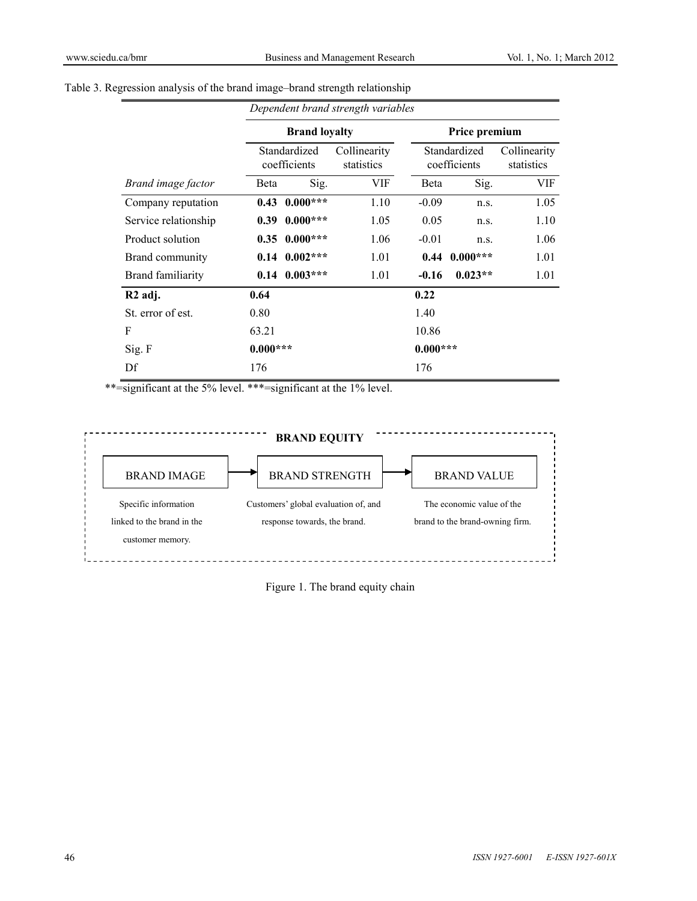|  |  |  | Table 3. Regression analysis of the brand image–brand strength relationship |
|--|--|--|-----------------------------------------------------------------------------|
|  |  |  |                                                                             |

|                          | Dependent brand strength variables |            |                            |                              |                   |                            |  |
|--------------------------|------------------------------------|------------|----------------------------|------------------------------|-------------------|----------------------------|--|
|                          | <b>Brand loyalty</b>               |            |                            | Price premium                |                   |                            |  |
|                          | Standardized<br>coefficients       |            | Collinearity<br>statistics | Standardized<br>coefficients |                   | Collinearity<br>statistics |  |
| Brand image factor       | Beta                               | Sig.       | VIF                        | <b>B</b> eta                 | Sig.              | VIF                        |  |
| Company reputation       | 0.43                               | $0.000***$ | 1.10                       | $-0.09$                      | n.s.              | 1.05                       |  |
| Service relationship     | 0.39                               | $0.000***$ | 1.05                       | 0.05                         | n.S.              | 1.10                       |  |
| Product solution         | 0.35                               | $0.000***$ | 1.06                       | $-0.01$                      | n.s.              | 1.06                       |  |
| Brand community          | $0.14$ $0.002***$                  |            | 1.01                       |                              | $0.44$ $0.000***$ | 1.01                       |  |
| <b>Brand familiarity</b> | 0.14                               | $0.003***$ | 1.01                       | $-0.16$                      | $0.023**$         | 1.01                       |  |
| R <sub>2</sub> adj.      | 0.64                               |            |                            | 0.22                         |                   |                            |  |
| St. error of est.        | 0.80                               |            |                            | 1.40                         |                   |                            |  |
| F                        | 63.21                              |            |                            | 10.86                        |                   |                            |  |
| Sig. F                   | $0.000***$                         |            |                            | $0.000***$                   |                   |                            |  |
| Df                       | 176                                |            |                            | 176                          |                   |                            |  |

\*\*=significant at the 5% level. \*\*\*=significant at the 1% level.



Figure 1. The brand equity chain